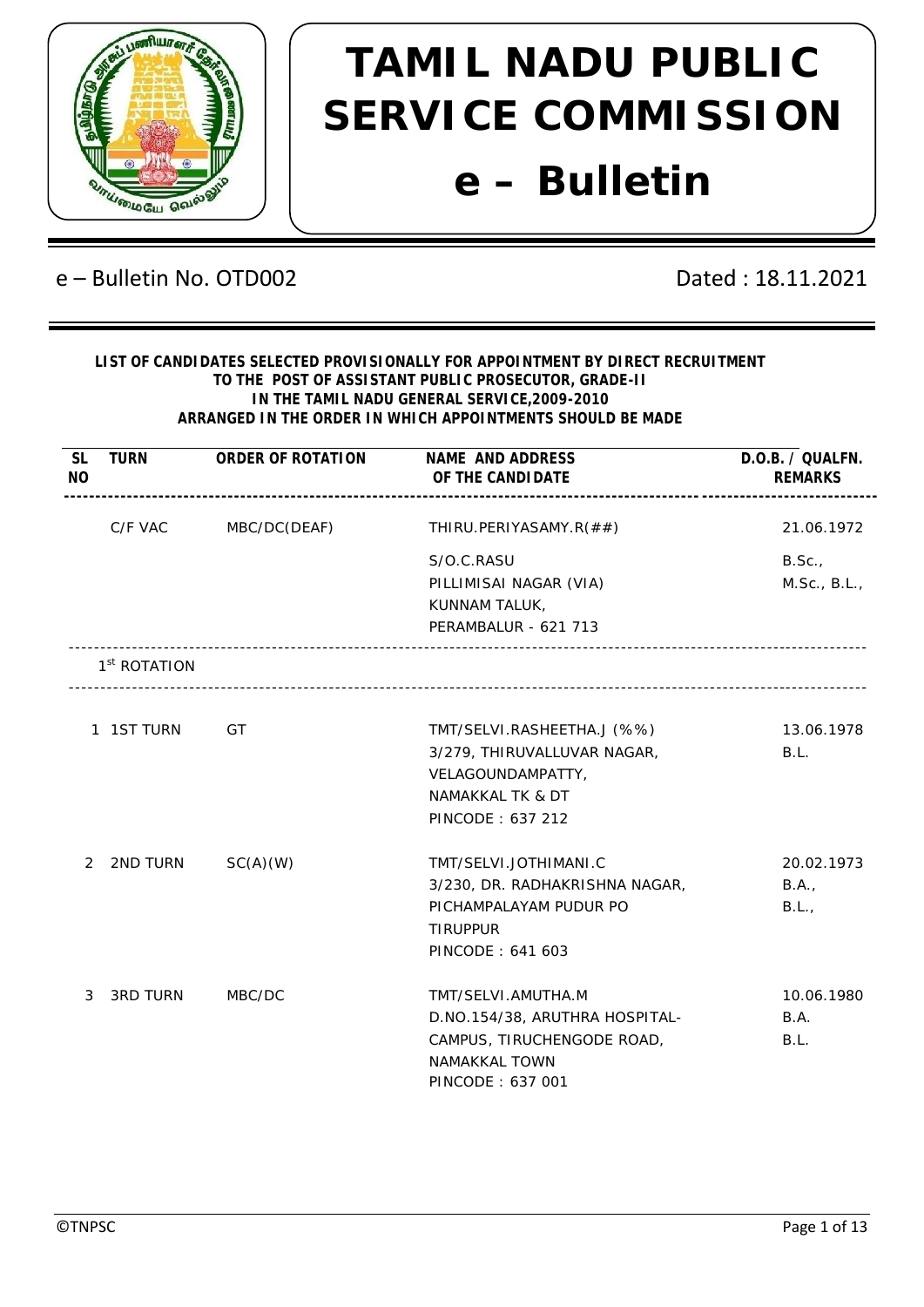

## e – Bulletin No. OTD002 Dated : 18.11.2021

## **LIST OF CANDIDATES SELECTED PROVISIONALLY FOR APPOINTMENT BY DIRECT RECRUITMENT TO THE POST OF ASSISTANT PUBLIC PROSECUTOR, GRADE-II IN THE TAMIL NADU GENERAL SERVICE,2009-2010 ARRANGED IN THE ORDER IN WHICH APPOINTMENTS SHOULD BE MADE**

| <b>SL</b><br><b>NO</b> | <b>TURN</b>              | ORDER OF ROTATION | NAME AND ADDRESS<br>OF THE CANDI DATE<br>---------------------- -------- | D.O.B. / QUALFN.<br><b>REMARKS</b> |
|------------------------|--------------------------|-------------------|--------------------------------------------------------------------------|------------------------------------|
|                        | C/F VAC                  | MBC/DC(DEAF)      | THIRU.PERIYASAMY.R(##)                                                   | 21.06.1972                         |
|                        |                          |                   | S/O.C.RASU                                                               | B.Sc.,                             |
|                        |                          |                   | PILLIMISAI NAGAR (VIA)                                                   | M.Sc., B.L.,                       |
|                        |                          |                   | KUNNAM TALUK,                                                            |                                    |
|                        |                          |                   | PERAMBALUR - 621 713                                                     |                                    |
|                        | 1 <sup>st</sup> ROTATION |                   |                                                                          |                                    |
|                        | 1 1ST TURN               | GT                | TMT/SELVI.RASHEETHA.J (%%)                                               | 13.06.1978                         |
|                        |                          |                   | 3/279, THIRUVALLUVAR NAGAR,                                              | B.L.                               |
|                        |                          |                   | VELAGOUNDAMPATTY,                                                        |                                    |
|                        |                          |                   | NAMAKKAL TK & DT                                                         |                                    |
|                        |                          |                   | PINCODE: 637 212                                                         |                                    |
| 2                      | 2ND TURN                 | SC(A)(W)          | TMT/SELVI.JOTHIMANI.C                                                    | 20.02.1973                         |
|                        |                          |                   | 3/230, DR. RADHAKRISHNA NAGAR,                                           | B.A.,                              |
|                        |                          |                   | PICHAMPALAYAM PUDUR PO                                                   | B.L.,                              |
|                        |                          |                   | <b>TIRUPPUR</b>                                                          |                                    |
|                        |                          |                   | PINCODE: 641 603                                                         |                                    |
| 3                      | <b>3RD TURN</b>          | MBC/DC            | TMT/SELVI.AMUTHA.M                                                       | 10.06.1980                         |
|                        |                          |                   | D.NO.154/38, ARUTHRA HOSPITAL-                                           | B.A.                               |
|                        |                          |                   | CAMPUS, TIRUCHENGODE ROAD,                                               | B.L.                               |
|                        |                          |                   | NAMAKKAL TOWN                                                            |                                    |
|                        |                          |                   | PINCODE: 637 001                                                         |                                    |
|                        |                          |                   |                                                                          |                                    |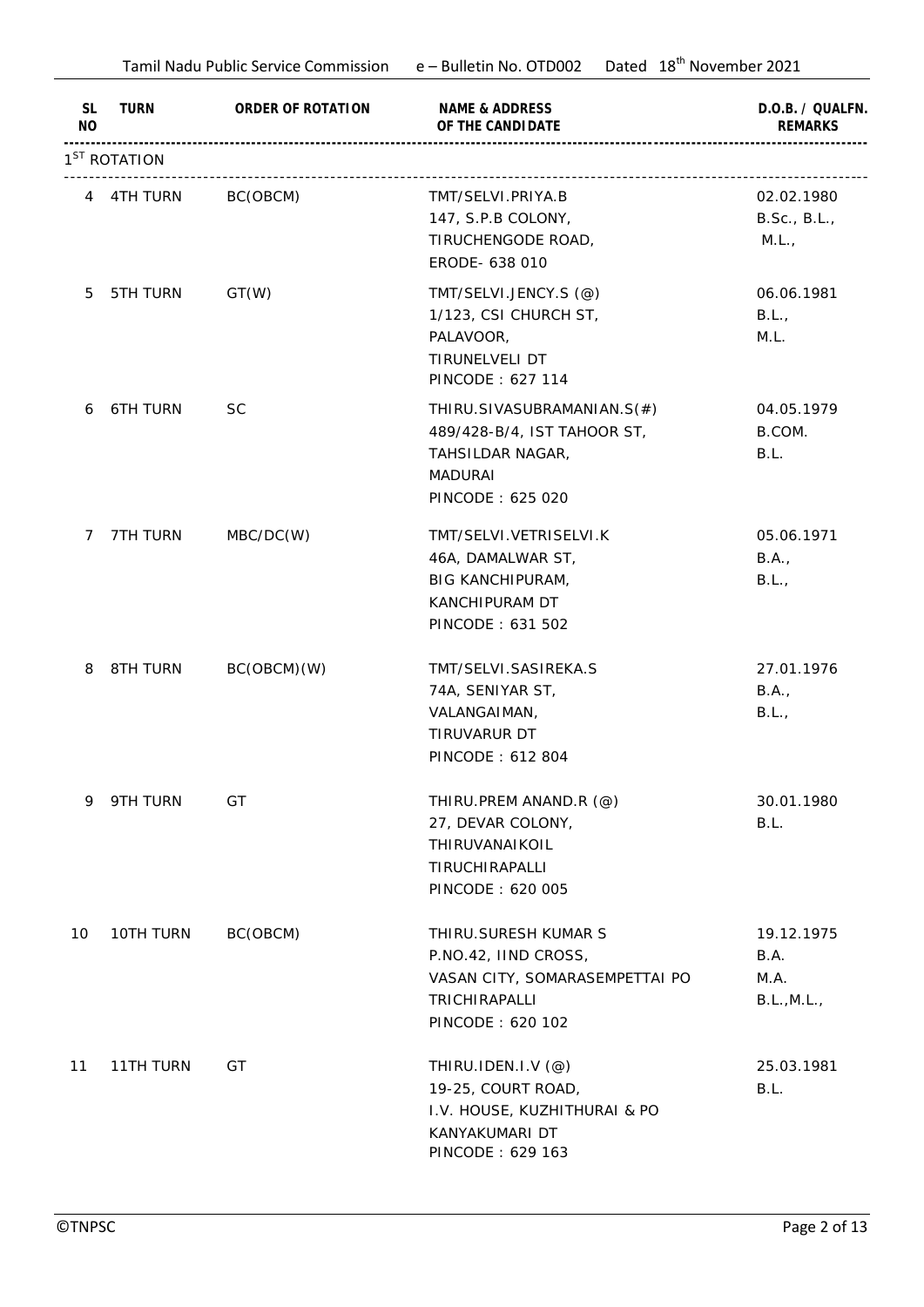|                 | Tamil Nadu Public Service Commission e - Bulletin No. OTD002 |                   | Dated 18 <sup>th</sup> November 2021 |                                    |
|-----------------|--------------------------------------------------------------|-------------------|--------------------------------------|------------------------------------|
| SL<br><b>NO</b> | TURN                                                         | ORDER OF ROTATION | NAME & ADDRESS<br>OF THE CANDI DATE  | D.O.B. / QUALFN.<br><b>REMARKS</b> |
|                 | 1 <sup>ST</sup> ROTATION                                     |                   |                                      |                                    |
|                 | 4 4TH TURN                                                   | BC(OBCM)          | TMT/SELVI.PRIYA.B                    | 02.02.1980                         |
|                 |                                                              |                   | 147, S.P.B COLONY,                   | B.Sc., B.L.,                       |
|                 |                                                              |                   | TIRUCHENGODE ROAD,                   | M.L.,                              |
|                 |                                                              |                   | ERODE- 638 010                       |                                    |
| 5               | 5TH TURN                                                     | GT(W)             | TMT/SELVI.JENCY.S (@)                | 06.06.1981                         |
|                 |                                                              |                   | 1/123, CSI CHURCH ST,                | B.L.,                              |
|                 |                                                              |                   | PALAVOOR,                            | M.L.                               |
|                 |                                                              |                   | TIRUNELVELI DT                       |                                    |
|                 |                                                              |                   | PINCODE: 627 114                     |                                    |
| 6               | <b>6TH TURN</b>                                              | <b>SC</b>         | THIRU.SIVASUBRAMANIAN.S(#)           | 04.05.1979                         |
|                 |                                                              |                   | 489/428-B/4, IST TAHOOR ST,          | B.COM.                             |
|                 |                                                              |                   | TAHSILDAR NAGAR,                     | B.L.                               |
|                 |                                                              |                   | <b>MADURAI</b>                       |                                    |
|                 |                                                              |                   | PINCODE: 625 020                     |                                    |
| 7               | 7TH TURN                                                     | MBC/DC(W)         | TMT/SELVI.VETRISELVI.K               | 05.06.1971                         |
|                 |                                                              |                   | 46A, DAMALWAR ST,                    | B.A.,                              |
|                 |                                                              |                   | <b>BIG KANCHIPURAM,</b>              | B.L.,                              |
|                 |                                                              |                   | KANCHIPURAM DT                       |                                    |
|                 |                                                              |                   | PINCODE: 631 502                     |                                    |
| 8               | 8TH TURN                                                     | BC(OBCM)(W)       | TMT/SELVI.SASIREKA.S                 | 27.01.1976                         |
|                 |                                                              |                   | 74A, SENIYAR ST,                     | B.A.,                              |
|                 |                                                              |                   | VALANGAIMAN,                         | B.L.,                              |
|                 |                                                              |                   | TIRUVARUR DT                         |                                    |
|                 |                                                              |                   | PINCODE: 612 804                     |                                    |
| 9               | 9TH TURN                                                     | GT                | THIRU.PREM ANAND.R (@)               | 30.01.1980                         |
|                 |                                                              |                   | 27, DEVAR COLONY,                    | B.L.                               |
|                 |                                                              |                   | THIRUVANAIKOIL                       |                                    |
|                 |                                                              |                   | TIRUCHIRAPALLI                       |                                    |
|                 |                                                              |                   | PINCODE: 620 005                     |                                    |
|                 |                                                              |                   |                                      |                                    |
| 10              | 10TH TURN                                                    | BC(OBCM)          | THIRU. SURESH KUMAR S                | 19.12.1975                         |
|                 |                                                              |                   | P.NO.42, IIND CROSS,                 | B.A.                               |
|                 |                                                              |                   | VASAN CITY, SOMARASEMPETTAI PO       | M.A.                               |
|                 |                                                              |                   | TRICHIRAPALLI<br>PINCODE: 620 102    | B.L., M.L.,                        |
|                 |                                                              |                   |                                      |                                    |
| 11              | 11TH TURN                                                    | GT                | THIRU.IDEN.I.V (@)                   | 25.03.1981                         |
|                 |                                                              |                   | 19-25, COURT ROAD,                   | B.L.                               |
|                 |                                                              |                   | I.V. HOUSE, KUZHITHURAI & PO         |                                    |
|                 |                                                              |                   | KANYAKUMARI DT                       |                                    |
|                 |                                                              |                   | PINCODE: 629 163                     |                                    |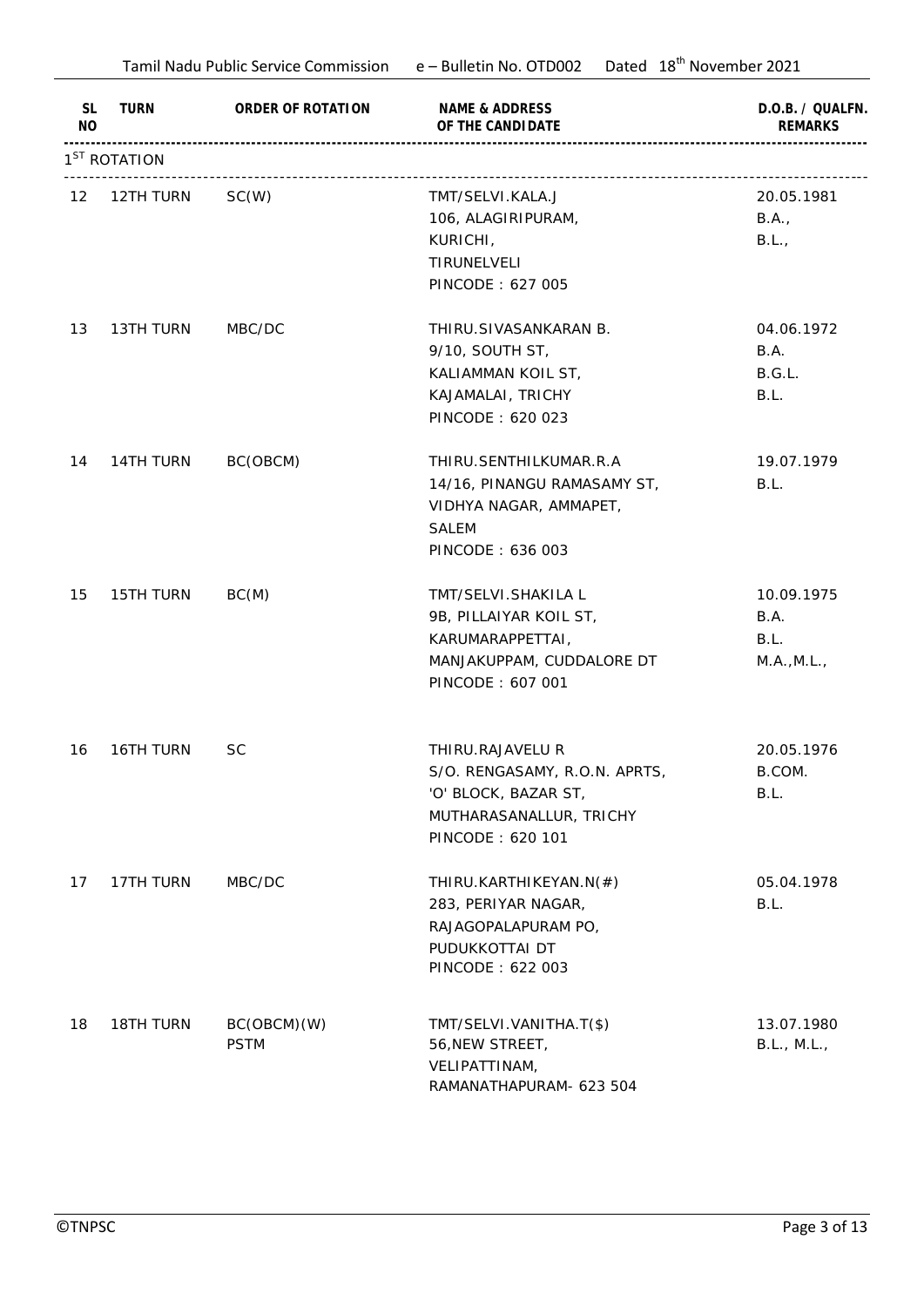|                             | Tamil Nadu Public Service Commission |                            | Dated 18 <sup>th</sup> November 2021<br>e – Bulletin No. OTD002                                                          |                                           |
|-----------------------------|--------------------------------------|----------------------------|--------------------------------------------------------------------------------------------------------------------------|-------------------------------------------|
| <b>SL</b><br>N <sub>O</sub> | TURN                                 | ORDER OF ROTATION          | NAME & ADDRESS<br>OF THE CANDI DATE                                                                                      | D.O.B. / QUALFN.<br><b>REMARKS</b>        |
|                             | 1 <sup>ST</sup> ROTATION             |                            |                                                                                                                          |                                           |
| 12                          | 12TH TURN                            | SC(W)                      | TMT/SELVI.KALA.J<br>106, ALAGIRIPURAM,<br>KURICHI,<br>TIRUNELVELI<br>PINCODE: 627 005                                    | 20.05.1981<br>B.A.,<br>B.L.,              |
| 13                          | 13TH TURN                            | MBC/DC                     | THIRU.SIVASANKARAN B.<br>9/10, SOUTH ST,<br>KALIAMMAN KOIL ST,<br>KAJAMALAI, TRICHY<br>PINCODE: 620 023                  | 04.06.1972<br>B.A.<br>B.G.L.<br>B.L.      |
| 14                          | 14TH TURN                            | BC(OBCM)                   | THIRU.SENTHILKUMAR.R.A<br>14/16, PINANGU RAMASAMY ST,<br>VIDHYA NAGAR, AMMAPET,<br><b>SALEM</b><br>PINCODE: 636 003      | 19.07.1979<br>B.L.                        |
| 15                          | 15TH TURN                            | BC(M)                      | TMT/SELVI.SHAKILA L<br>9B, PILLAIYAR KOIL ST,<br>KARUMARAPPETTAI,<br>MANJAKUPPAM, CUDDALORE DT<br>PINCODE: 607 001       | 10.09.1975<br>B.A.<br>B.L.<br>M.A., M.L., |
|                             | 16 16TH TURN                         | <b>SC</b>                  | THIRU.RAJAVELU R<br>S/O. RENGASAMY, R.O.N. APRTS,<br>'O' BLOCK, BAZAR ST,<br>MUTHARASANALLUR, TRICHY<br>PINCODE: 620 101 | 20.05.1976<br>B.COM.<br>B.L.              |
| 17                          | 17TH TURN                            | MBC/DC                     | THIRU.KARTHIKEYAN.N(#)<br>283, PERIYAR NAGAR,<br>RAJAGOPALAPURAM PO,<br>PUDUKKOTTAI DT<br>PINCODE: 622 003               | 05.04.1978<br>B.L.                        |
| 18                          | 18TH TURN                            | BC(OBCM)(W)<br><b>PSTM</b> | TMT/SELVI.VANITHA.T(\$)<br>56, NEW STREET,<br>VELIPATTINAM,<br>RAMANATHAPURAM- 623 504                                   | 13.07.1980<br>B.L., M.L.,                 |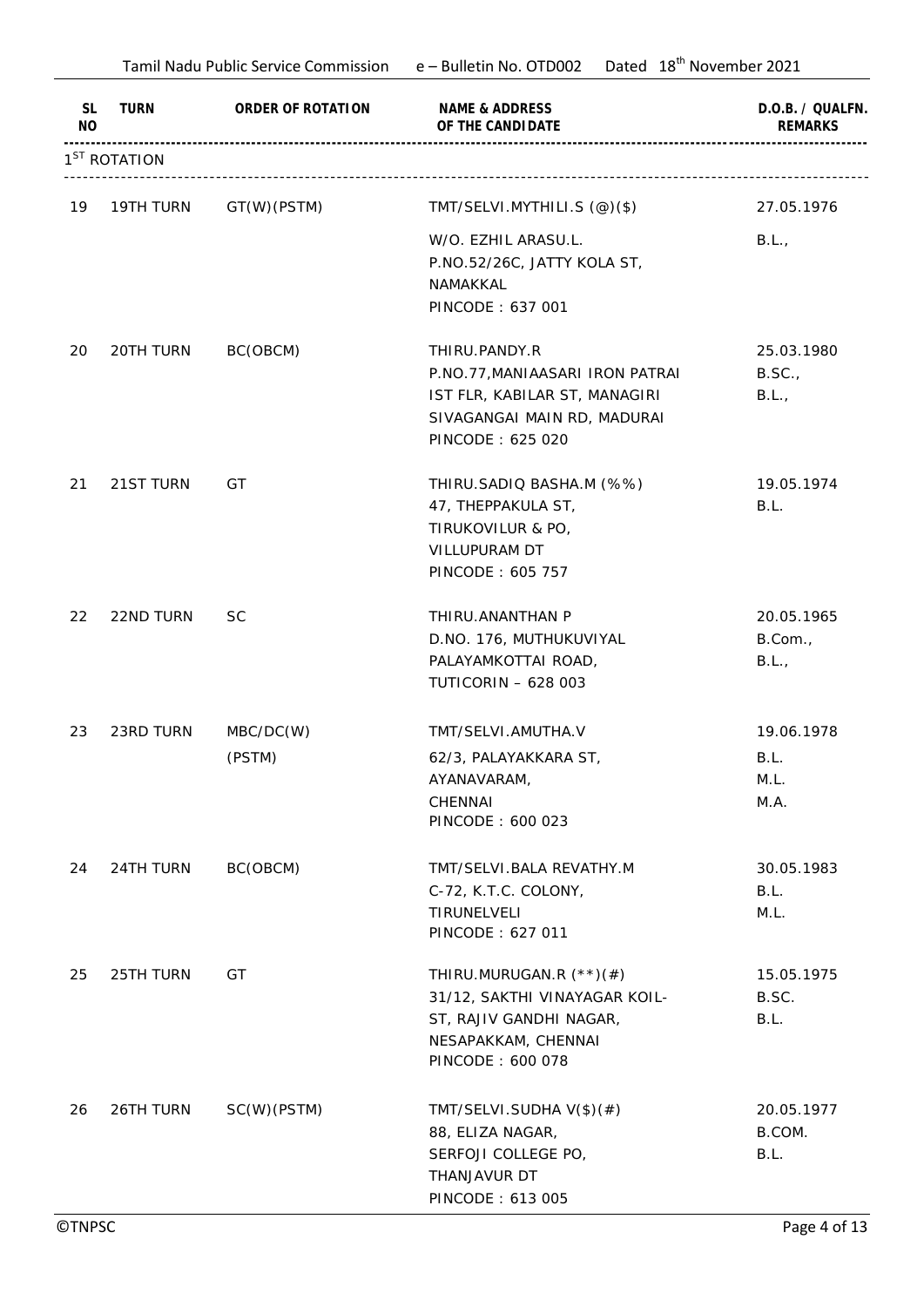|                             | Tamil Nadu Public Service Commission |                   | Dated 18 <sup>th</sup> November 2021<br>e – Bulletin No. OTD002 |                                    |
|-----------------------------|--------------------------------------|-------------------|-----------------------------------------------------------------|------------------------------------|
| <b>SL</b><br>N <sub>O</sub> | TURN                                 | ORDER OF ROTATION | NAME & ADDRESS<br>OF THE CANDI DATE                             | D.O.B. / QUALFN.<br><b>REMARKS</b> |
|                             | 1 <sup>ST</sup> ROTATION             |                   |                                                                 |                                    |
| 19                          | 19TH TURN                            | GT(W)(PSTM)       | TMT/SELVI.MYTHILI.S (@)(\$)                                     | 27.05.1976                         |
|                             |                                      |                   | W/O. EZHIL ARASU.L.                                             | B.L.,                              |
|                             |                                      |                   | P.NO.52/26C, JATTY KOLA ST,                                     |                                    |
|                             |                                      |                   | NAMAKKAL                                                        |                                    |
|                             |                                      |                   | PINCODE: 637 001                                                |                                    |
| 20                          | 20TH TURN                            | BC(OBCM)          | THIRU.PANDY.R                                                   | 25.03.1980                         |
|                             |                                      |                   | P.NO.77, MANIAASARI IRON PATRAI                                 | B.SC.                              |
|                             |                                      |                   | IST FLR, KABILAR ST, MANAGIRI                                   | B.L.,                              |
|                             |                                      |                   | SIVAGANGAI MAIN RD, MADURAI                                     |                                    |
|                             |                                      |                   | PINCODE: 625 020                                                |                                    |
| 21                          | 21ST TURN                            | GT                | THIRU.SADIQ BASHA.M (%%)                                        | 19.05.1974                         |
|                             |                                      |                   | 47, THEPPAKULA ST,                                              | B.L.                               |
|                             |                                      |                   | TIRUKOVILUR & PO,                                               |                                    |
|                             |                                      |                   | VILLUPURAM DT                                                   |                                    |
|                             |                                      |                   | PINCODE: 605 757                                                |                                    |
| 22                          | 22ND TURN                            | <b>SC</b>         | THIRU. ANANTHAN P                                               | 20.05.1965                         |
|                             |                                      |                   | D.NO. 176, MUTHUKUVIYAL                                         | B.Com.,                            |
|                             |                                      |                   | PALAYAMKOTTAI ROAD,                                             | B.L.,                              |
|                             |                                      |                   | <b>TUTICORIN - 628 003</b>                                      |                                    |
| 23                          | 23RD TURN                            | MBC/DC(W)         | TMT/SELVI.AMUTHA.V                                              | 19.06.1978                         |
|                             |                                      | (PSTM)            | 62/3, PALAYAKKARA ST,                                           | B.L.                               |
|                             |                                      |                   | AYANAVARAM,                                                     | M.L.                               |
|                             |                                      |                   | CHENNAI                                                         | M.A.                               |
|                             |                                      |                   | PINCODE: 600 023                                                |                                    |
| 24                          | 24TH TURN                            | BC(OBCM)          | TMT/SELVI.BALA REVATHY.M                                        | 30.05.1983                         |
|                             |                                      |                   | C-72, K.T.C. COLONY,                                            | B.L.                               |
|                             |                                      |                   | TIRUNELVELI                                                     | M.L.                               |
|                             |                                      |                   | PINCODE: 627 011                                                |                                    |
| 25                          | 25TH TURN                            | GT                | THIRU.MURUGAN.R (**)(#)                                         | 15.05.1975                         |
|                             |                                      |                   | 31/12, SAKTHI VINAYAGAR KOIL-                                   | B.SC.                              |
|                             |                                      |                   | ST, RAJIV GANDHI NAGAR,                                         | B.L.                               |
|                             |                                      |                   | NESAPAKKAM, CHENNAI                                             |                                    |
|                             |                                      |                   | PINCODE: 600 078                                                |                                    |
| 26                          | 26TH TURN                            | SC(W)(PSTM)       | TMT/SELVI.SUDHA V(\$)(#)                                        | 20.05.1977                         |
|                             |                                      |                   | 88, ELIZA NAGAR,                                                | B.COM.                             |
|                             |                                      |                   | SERFOJI COLLEGE PO,                                             | B.L.                               |
|                             |                                      |                   | THANJAVUR DT                                                    |                                    |
|                             |                                      |                   | PINCODE: 613 005                                                |                                    |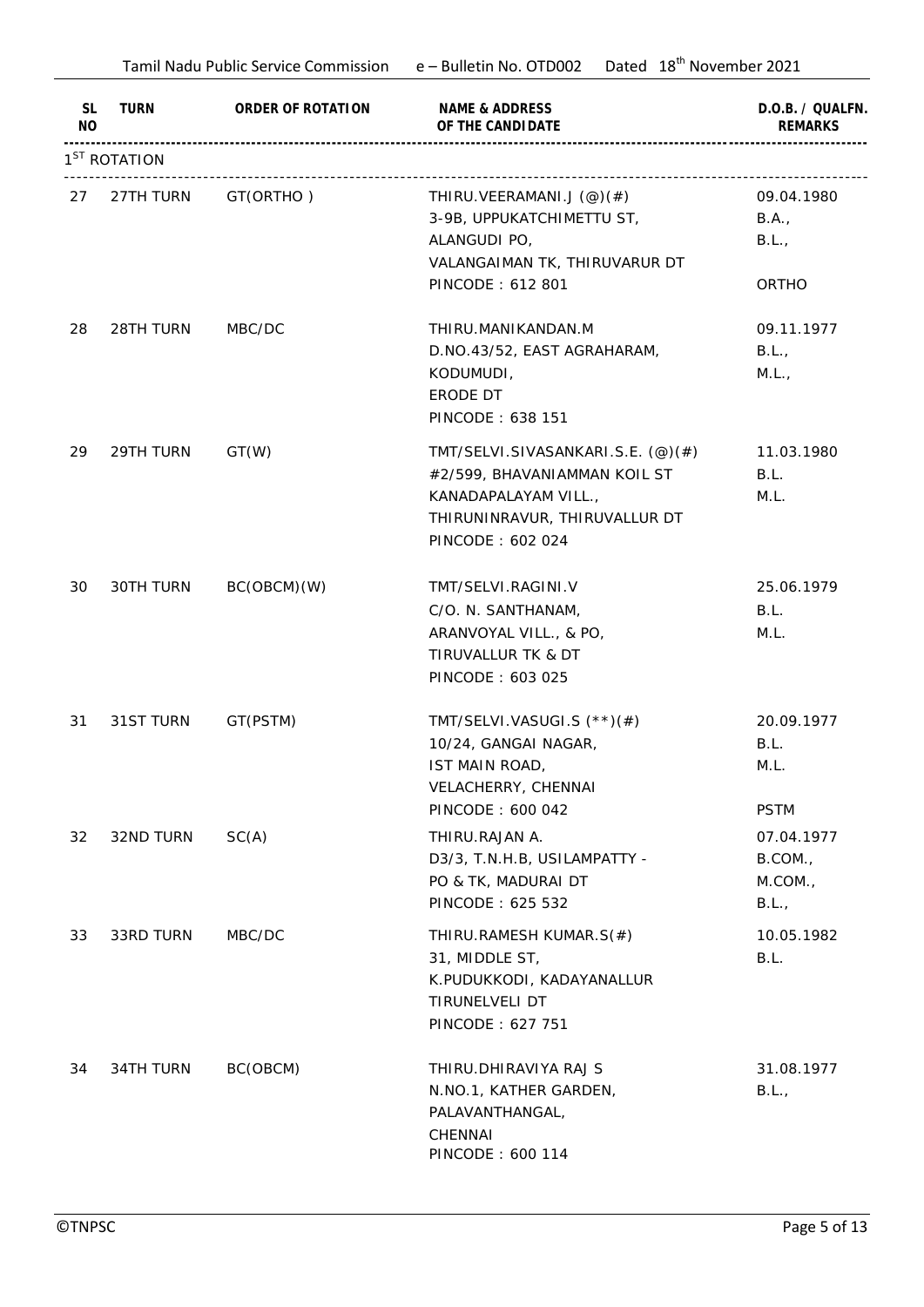|                      | Tamil Nadu Public Service Commission |                   | Dated 18 <sup>th</sup> November 2021<br>e – Bulletin No. OTD002                                                                                |                                                             |  |
|----------------------|--------------------------------------|-------------------|------------------------------------------------------------------------------------------------------------------------------------------------|-------------------------------------------------------------|--|
| SL<br>N <sub>O</sub> | TURN                                 | ORDER OF ROTATION | NAME & ADDRESS<br>OF THE CANDI DATE                                                                                                            | D.O.B. / QUALFN.<br><b>REMARKS</b>                          |  |
|                      | 1 <sup>ST</sup> ROTATION             |                   |                                                                                                                                                |                                                             |  |
| 27                   | 27TH TURN                            | GT(ORTHO)         | THIRU.VEERAMANI.J $(\mathcal{Q})(\#)$<br>3-9B, UPPUKATCHIMETTU ST,<br>ALANGUDI PO,<br>VALANGAIMAN TK, THIRUVARUR DT<br>PINCODE: 612 801        | 09.04.1980<br>B.A.,<br>B.L.,<br>ORTHO                       |  |
| 28                   | 28TH TURN                            | MBC/DC            | THIRU.MANIKANDAN.M<br>D.NO.43/52, EAST AGRAHARAM,<br>KODUMUDI,<br>ERODE DT<br>PINCODE: 638 151                                                 | 09.11.1977<br>B.L.,<br>M.L.,                                |  |
| 29                   | 29TH TURN                            | GT(W)             | TMT/SELVI.SIVASANKARI.S.E. (@)(#)<br>#2/599, BHAVANIAMMAN KOIL ST<br>KANADAPALAYAM VILL.,<br>THIRUNINRAVUR, THIRUVALLUR DT<br>PINCODE: 602 024 | 11.03.1980<br>B.L.<br>M.L.                                  |  |
| 30                   | 30TH TURN                            | BC(OBCM)(W)       | TMT/SELVI.RAGINI.V<br>C/O. N. SANTHANAM,<br>ARANVOYAL VILL., & PO,<br>TIRUVALLUR TK & DT<br>PINCODE: 603 025                                   | 25.06.1979<br>B.L.<br>M.L.                                  |  |
| 31                   | 31ST TURN                            | GT(PSTM)          | TMT/SELVI.VASUGI.S (**)(#)<br>10/24, GANGAI NAGAR,<br>IST MAIN ROAD,<br>VELACHERRY, CHENNAI                                                    | 20.09.1977<br>B.L.<br>M.L.                                  |  |
| 32                   | 32ND TURN                            | SC(A)             | PINCODE: 600 042<br>THIRU.RAJAN A.<br>D3/3, T.N.H.B, USILAMPATTY -<br>PO & TK, MADURAI DT<br>PINCODE: 625 532                                  | <b>PSTM</b><br>07.04.1977<br>B.COM.,<br>$M.$ COM.,<br>B.L., |  |
| 33                   | 33RD TURN                            | MBC/DC            | THIRU.RAMESH KUMAR.S(#)<br>31, MIDDLE ST,<br>K.PUDUKKODI, KADAYANALLUR<br>TIRUNELVELI DT<br>PINCODE: 627 751                                   | 10.05.1982<br>B.L.                                          |  |
| 34                   | 34TH TURN                            | BC(OBCM)          | THIRU. DHIRAVIYA RAJ S<br>N.NO.1, KATHER GARDEN,<br>PALAVANTHANGAL,<br>CHENNAI<br>PINCODE: 600 114                                             | 31.08.1977<br>B.L.,                                         |  |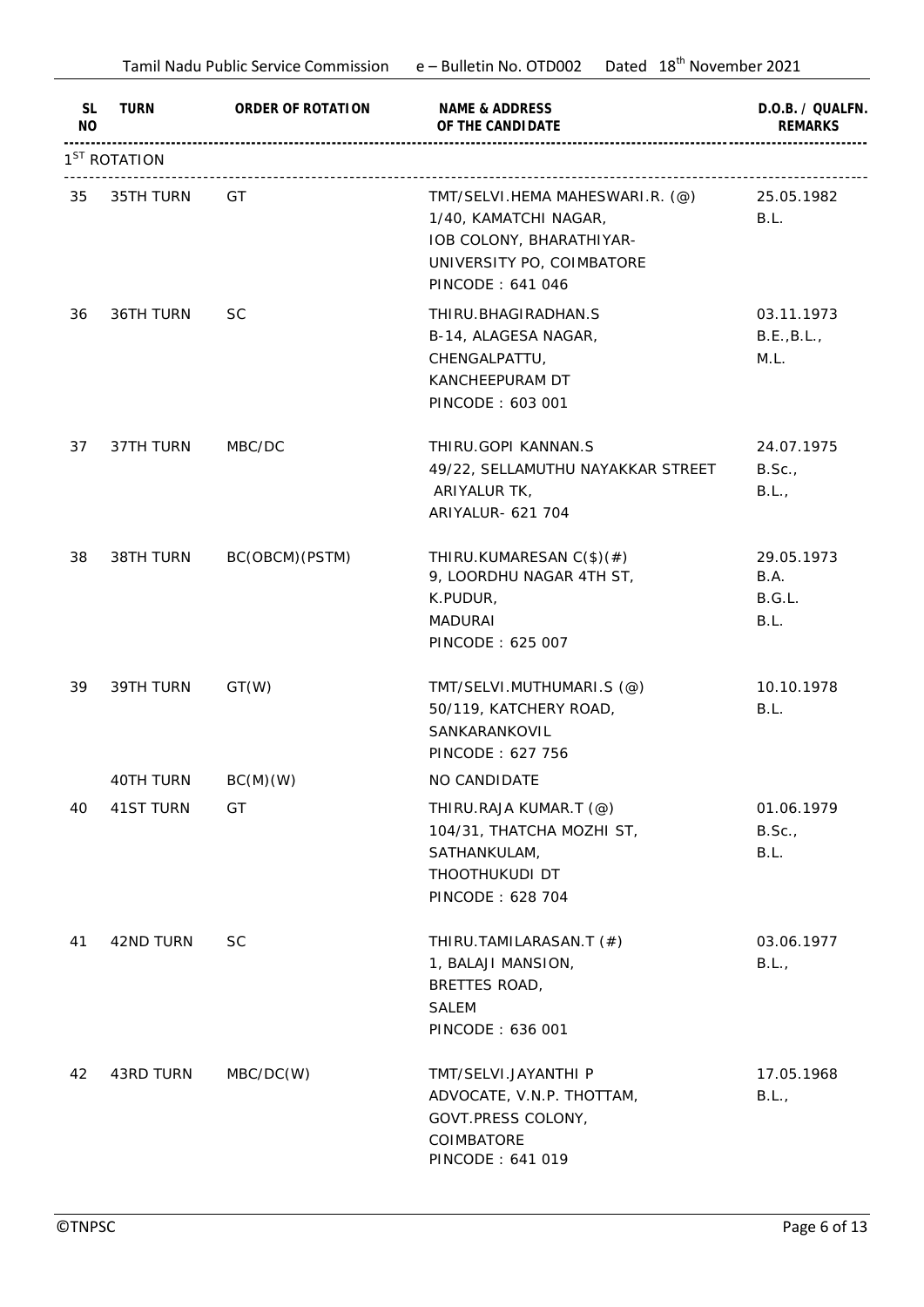|                             |                          | Tamil Nadu Public Service Commission | Dated 18 <sup>th</sup> November 2021<br>e – Bulletin No. OTD002                                                                       |                                      |  |
|-----------------------------|--------------------------|--------------------------------------|---------------------------------------------------------------------------------------------------------------------------------------|--------------------------------------|--|
| <b>SL</b><br>N <sub>O</sub> | <b>TURN</b>              | ORDER OF ROTATION                    | NAME & ADDRESS<br>OF THE CANDI DATE                                                                                                   | D.O.B. / QUALFN.<br><b>REMARKS</b>   |  |
|                             | 1 <sup>ST</sup> ROTATION |                                      |                                                                                                                                       |                                      |  |
| 35                          | 35TH TURN                | GT                                   | TMT/SELVI.HEMA MAHESWARI.R. (@)<br>1/40, KAMATCHI NAGAR,<br>IOB COLONY, BHARATHIYAR-<br>UNIVERSITY PO, COIMBATORE<br>PINCODE: 641 046 | 25.05.1982<br>B.L.                   |  |
| 36                          | 36TH TURN                | <b>SC</b>                            | THIRU. BHAGIRADHAN. S<br>B-14, ALAGESA NAGAR,<br>CHENGALPATTU,<br>KANCHEEPURAM DT<br>PINCODE: 603 001                                 | 03.11.1973<br>B.E., B.L.,<br>M.L.    |  |
| 37                          | 37TH TURN                | MBC/DC                               | THIRU.GOPI KANNAN.S<br>49/22, SELLAMUTHU NAYAKKAR STREET<br>ARIYALUR TK,<br>ARIYALUR- 621 704                                         | 24.07.1975<br>B.Sc.,<br>B.L.,        |  |
| 38                          | 38TH TURN                | BC(OBCM)(PSTM)                       | THIRU.KUMARESAN C(\$)(#)<br>9, LOORDHU NAGAR 4TH ST,<br>K.PUDUR,<br><b>MADURAI</b><br>PINCODE: 625 007                                | 29.05.1973<br>B.A.<br>B.G.L.<br>B.L. |  |
| 39                          | 39TH TURN                | GT(W)                                | TMT/SELVI.MUTHUMARI.S (@)<br>50/119, KATCHERY ROAD,<br>SANKARANKOVIL<br>PINCODE: 627 756                                              | 10.10.1978<br>B.L.                   |  |
|                             | 40TH TURN                | BC(M)(W)                             | NO CANDIDATE                                                                                                                          |                                      |  |
| 40                          | 41ST TURN                | GT                                   | THIRU.RAJA KUMAR.T (@)<br>104/31, THATCHA MOZHI ST,<br>SATHANKULAM,<br>THOOTHUKUDI DT<br>PINCODE: 628 704                             | 01.06.1979<br>B.Sc.<br>B.L.          |  |
| 41                          | 42ND TURN                | <b>SC</b>                            | THIRU.TAMILARASAN.T (#)<br>1, BALAJI MANSION,<br>BRETTES ROAD,<br><b>SALEM</b><br>PINCODE: 636 001                                    | 03.06.1977<br>B.L.,                  |  |
| 42                          | 43RD TURN                | MBC/DC(W)                            | TMT/SELVI.JAYANTHI P<br>ADVOCATE, V.N.P. THOTTAM,<br>GOVT.PRESS COLONY,<br>COIMBATORE<br>PINCODE: 641 019                             | 17.05.1968<br>B.L.,                  |  |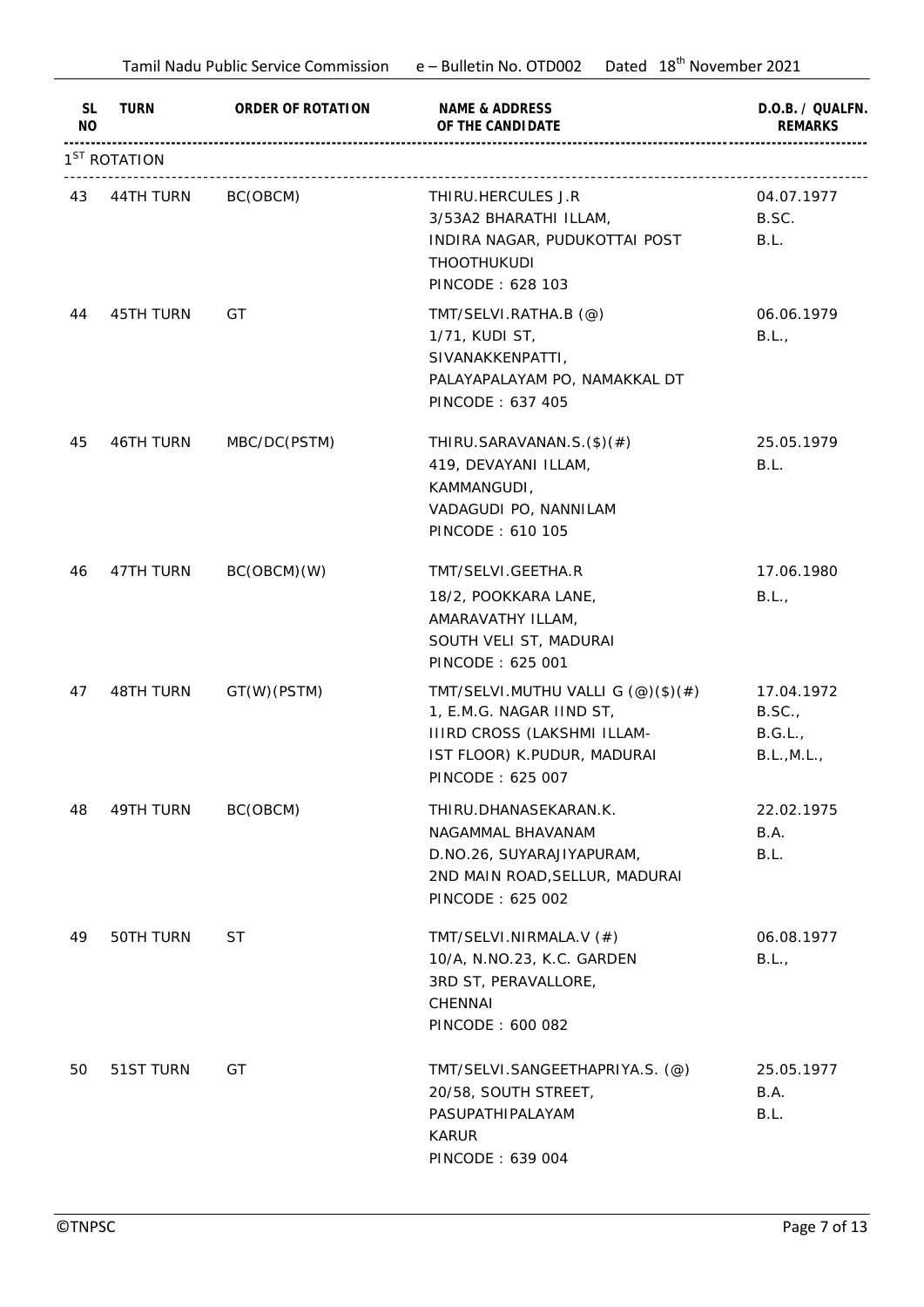|                      | Tamil Nadu Public Service Commission e - Bulletin No. OTD002 |                   | Dated 18 <sup>th</sup> November 2021                                                                                                                                 |                                               |
|----------------------|--------------------------------------------------------------|-------------------|----------------------------------------------------------------------------------------------------------------------------------------------------------------------|-----------------------------------------------|
| SL<br>N <sub>O</sub> | TURN                                                         | ORDER OF ROTATION | NAME & ADDRESS<br>OF THE CANDI DATE                                                                                                                                  | D.O.B. / QUALFN.<br><b>REMARKS</b>            |
|                      | 1 <sup>ST</sup> ROTATION                                     |                   |                                                                                                                                                                      |                                               |
|                      | 43 44TH TURN BC(OBCM)                                        |                   | THIRU.HERCULES J.R<br>3/53A2 BHARATHI ILLAM,<br>INDIRA NAGAR, PUDUKOTTAI POST<br>THOOTHUKUDI<br>PINCODE: 628 103                                                     | 04.07.1977<br>B.SC.<br>B.L.                   |
| 44                   | <b>45TH TURN</b>                                             | GT                | TMT/SELVI.RATHA.B (@)<br>1/71, KUDI ST,<br>SIVANAKKENPATTI,<br>PALAYAPALAYAM PO, NAMAKKAL DT<br>PINCODE: 637 405                                                     | 06.06.1979<br>B.L.,                           |
| 45                   | 46TH TURN                                                    | MBC/DC(PSTM)      | THIRU.SARAVANAN.S. $(\$)(\#)$<br>419, DEVAYANI ILLAM,<br>KAMMANGUDI,<br>VADAGUDI PO, NANNILAM<br>PINCODE: 610 105                                                    | 25.05.1979<br>B.L.                            |
| 46                   | 47TH TURN                                                    | BC(OBCM)(W)       | TMT/SELVI.GEETHA.R<br>18/2, POOKKARA LANE,<br>AMARAVATHY ILLAM,<br>SOUTH VELI ST, MADURAI<br>PINCODE: 625 001                                                        | 17.06.1980<br>B.L.,                           |
| 47                   | 48TH TURN                                                    | GT(W)(PSTM)       | TMT/SELVI.MUTHU VALLI G $(\mathcal{Q})(\$)(\#)$<br>1, E.M.G. NAGAR IIND ST,<br><b>IIIRD CROSS (LAKSHMI ILLAM-</b><br>IST FLOOR) K.PUDUR, MADURAI<br>PINCODE: 625 007 | 17.04.1972<br>B.SC.<br>B.G.L.,<br>B.L., M.L., |
| 48                   | 49TH TURN                                                    | BC(OBCM)          | THIRU.DHANASEKARAN.K.<br>NAGAMMAL BHAVANAM<br>D.NO.26, SUYARAJIYAPURAM,<br>2ND MAIN ROAD, SELLUR, MADURAI<br>PINCODE: 625 002                                        | 22.02.1975<br>B.A.<br>B.L.                    |
| 49                   | 50TH TURN                                                    | ST                | TMT/SELVI.NIRMALA.V (#)<br>10/A, N.NO.23, K.C. GARDEN<br>3RD ST, PERAVALLORE,<br>CHENNAI<br>PINCODE: 600 082                                                         | 06.08.1977<br>B.L.,                           |
| 50                   | 51ST TURN                                                    | GT                | TMT/SELVI.SANGEETHAPRIYA.S. (@)<br>20/58, SOUTH STREET,<br>PASUPATHIPALAYAM<br><b>KARUR</b><br>PINCODE: 639 004                                                      | 25.05.1977<br>B.A.<br>B.L.                    |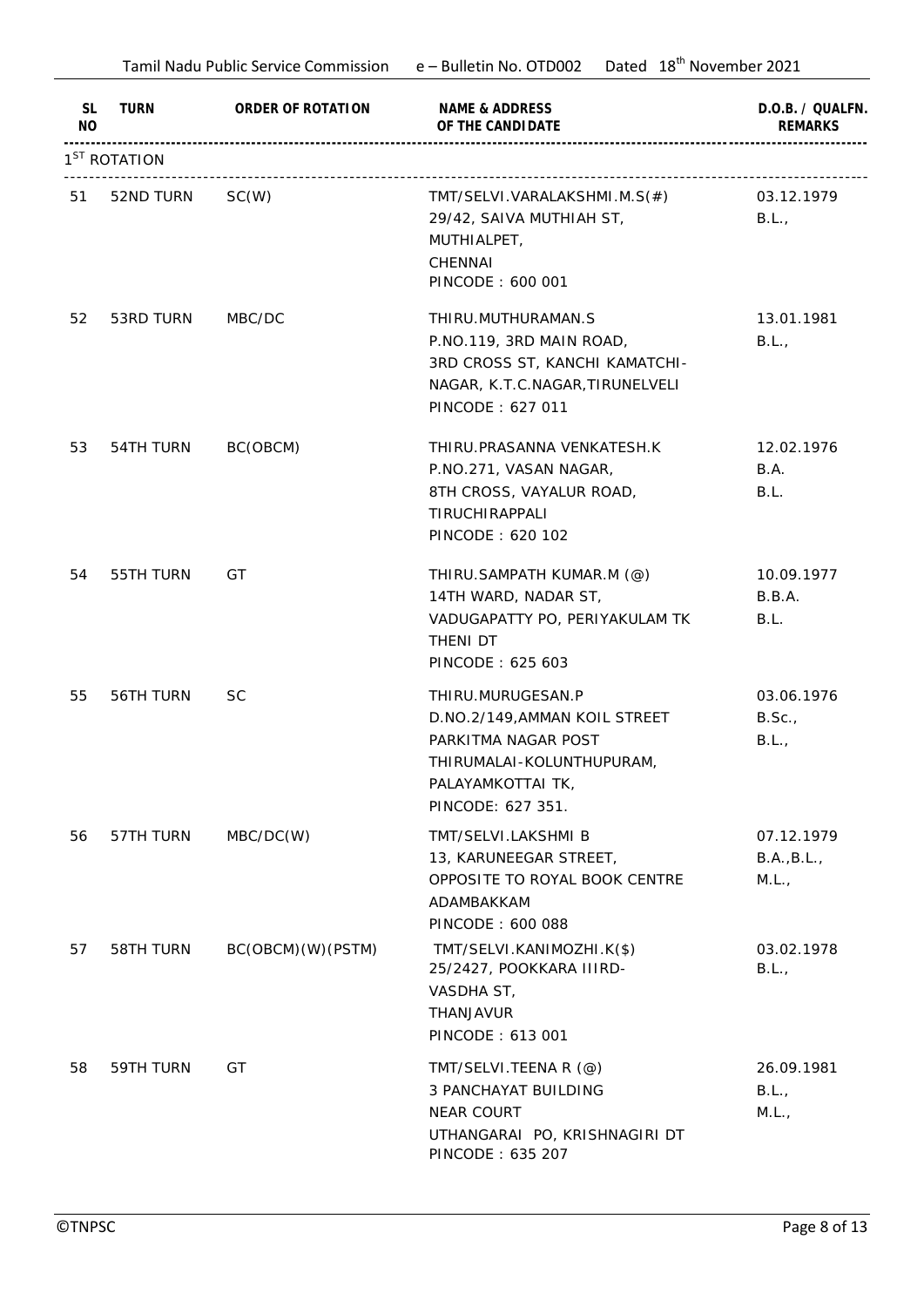|                      | Tamil Nadu Public Service Commission e - Bulletin No. OTD002 |                   | Dated 18 <sup>th</sup> November 2021                                                                                                             |                                    |  |
|----------------------|--------------------------------------------------------------|-------------------|--------------------------------------------------------------------------------------------------------------------------------------------------|------------------------------------|--|
| SL<br>N <sub>O</sub> | TURN                                                         | ORDER OF ROTATION | NAME & ADDRESS<br>OF THE CANDI DATE                                                                                                              | D.O.B. / QUALFN.<br><b>REMARKS</b> |  |
|                      | 1 <sup>ST</sup> ROTATION                                     |                   |                                                                                                                                                  |                                    |  |
| 51                   | 52ND TURN                                                    | SC(W)             | TMT/SELVI.VARALAKSHMI.M.S(#)<br>29/42, SAIVA MUTHIAH ST,<br>MUTHIALPET,<br>CHENNAI<br>PINCODE: 600 001                                           | 03.12.1979<br>B.L.,                |  |
| 52                   | 53RD TURN                                                    | MBC/DC            | THIRU.MUTHURAMAN.S<br>P.NO.119, 3RD MAIN ROAD,<br>3RD CROSS ST, KANCHI KAMATCHI-<br>NAGAR, K.T.C.NAGAR, TIRUNELVELI<br>PINCODE: 627 011          | 13.01.1981<br>B.L.,                |  |
| 53                   | 54TH TURN                                                    | BC(OBCM)          | THIRU.PRASANNA VENKATESH.K<br>P.NO.271, VASAN NAGAR,<br>8TH CROSS, VAYALUR ROAD,<br>TIRUCHIRAPPALI<br>PINCODE: 620 102                           | 12.02.1976<br>B.A.<br>B.L.         |  |
| 54                   | 55TH TURN                                                    | GT                | THIRU.SAMPATH KUMAR.M (@)<br>14TH WARD, NADAR ST,<br>VADUGAPATTY PO, PERIYAKULAM TK<br>THENI DT<br>PINCODE: 625 603                              | 10.09.1977<br>B.B.A.<br>B.L.       |  |
| 55                   | 56TH TURN                                                    | <b>SC</b>         | THIRU.MURUGESAN.P<br>D.NO.2/149, AMMAN KOIL STREET<br>PARKITMA NAGAR POST<br>THIRUMALAI-KOLUNTHUPURAM,<br>PALAYAMKOTTAI TK,<br>PINCODE: 627 351. | 03.06.1976<br>B.Sc.<br>B.L.,       |  |
| 56                   | 57TH TURN                                                    | MBC/DC(W)         | TMT/SELVI.LAKSHMI B<br>13, KARUNEEGAR STREET,<br>OPPOSITE TO ROYAL BOOK CENTRE<br>ADAMBAKKAM<br>PINCODE: 600 088                                 | 07.12.1979<br>B.A., B.L.,<br>M.L., |  |
| 57                   | 58TH TURN                                                    | BC(OBCM)(W)(PSTM) | TMT/SELVI.KANIMOZHI.K(\$)<br>25/2427, POOKKARA IIIRD-<br>VASDHA ST,<br>THANJAVUR<br>PINCODE: 613 001                                             | 03.02.1978<br>B.L.,                |  |
| 58                   | 59TH TURN                                                    | GT                | TMT/SELVI.TEENA R (@)<br><b>3 PANCHAYAT BUILDING</b><br><b>NEAR COURT</b><br>UTHANGARAI PO, KRISHNAGIRI DT<br>PINCODE: 635 207                   | 26.09.1981<br>B.L.,<br>M.L.,       |  |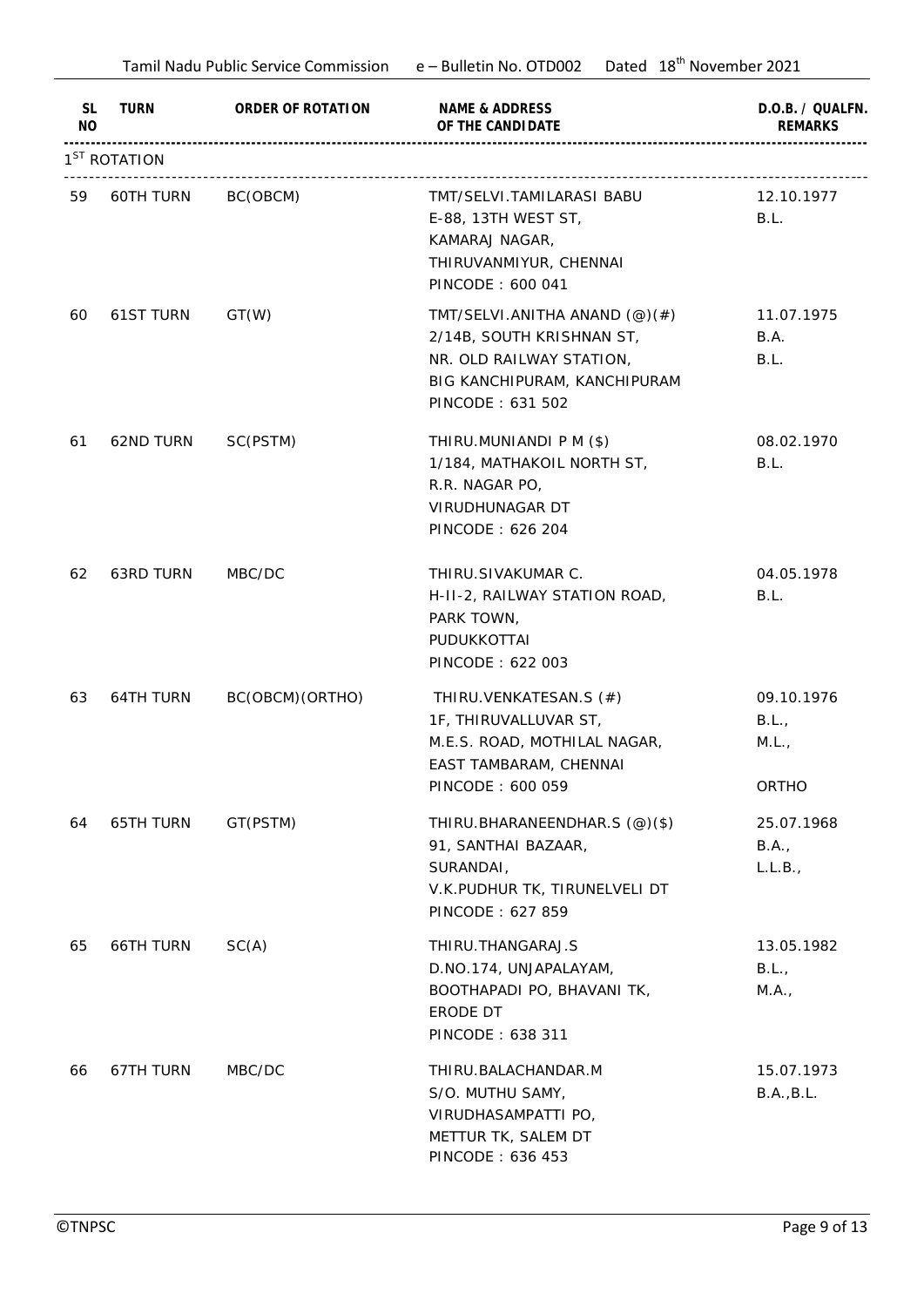|                        | Tamil Nadu Public Service Commission e - Bulletin No. OTD002 |                   | Dated 18 <sup>th</sup> November 2021                                                                                                                                     |                                       |
|------------------------|--------------------------------------------------------------|-------------------|--------------------------------------------------------------------------------------------------------------------------------------------------------------------------|---------------------------------------|
| <b>SL</b><br><b>NO</b> | TURN                                                         | ORDER OF ROTATION | NAME & ADDRESS<br>OF THE CANDI DATE                                                                                                                                      | D.O.B. / QUALFN.<br><b>REMARKS</b>    |
|                        | 1 <sup>ST</sup> ROTATION                                     |                   |                                                                                                                                                                          |                                       |
| 59                     | 60TH TURN                                                    | BC(OBCM)          | TMT/SELVI.TAMILARASI BABU<br>E-88, 13TH WEST ST,<br>KAMARAJ NAGAR,<br>THIRUVANMIYUR, CHENNAI<br>PINCODE: 600 041                                                         | 12.10.1977<br>B.L.                    |
| 60                     | <b>61ST TURN</b>                                             | GT(W)             | TMT/SELVI.ANITHA ANAND $(\textcircled{e})(\textcircled{f})$<br>2/14B, SOUTH KRISHNAN ST,<br>NR. OLD RAILWAY STATION,<br>BIG KANCHIPURAM, KANCHIPURAM<br>PINCODE: 631 502 | 11.07.1975<br>B.A.<br>B.L.            |
| 61                     | 62ND TURN                                                    | SC(PSTM)          | THIRU.MUNIANDI P M (\$)<br>1/184, MATHAKOIL NORTH ST,<br>R.R. NAGAR PO,<br>VIRUDHUNAGAR DT<br>PINCODE: 626 204                                                           | 08.02.1970<br>B.L.                    |
| 62                     | 63RD TURN                                                    | MBC/DC            | THIRU.SIVAKUMAR C.<br>H-II-2, RAILWAY STATION ROAD,<br>PARK TOWN,<br>PUDUKKOTTAI<br>PINCODE: 622 003                                                                     | 04.05.1978<br>B.L.                    |
| 63                     | 64TH TURN                                                    | BC(OBCM)(ORTHO)   | THIRU.VENKATESAN.S (#)<br>1F, THIRUVALLUVAR ST,<br>M.E.S. ROAD, MOTHILAL NAGAR,<br>EAST TAMBARAM, CHENNAI<br>PINCODE: 600 059                                            | 09.10.1976<br>B.L.,<br>M.L.,<br>ORTHO |
| 64                     | 65TH TURN                                                    | GT(PSTM)          | THIRU.BHARANEENDHAR.S (@)(\$)<br>91, SANTHAI BAZAAR,<br>SURANDAI,<br>V.K.PUDHUR TK, TIRUNELVELI DT<br>PINCODE: 627 859                                                   | 25.07.1968<br>B.A.,<br>L.L.B.,        |
| 65                     | 66TH TURN                                                    | SC(A)             | THIRU.THANGARAJ.S<br>D.NO.174, UNJAPALAYAM,<br>BOOTHAPADI PO, BHAVANI TK,<br>ERODE DT<br>PINCODE: 638 311                                                                | 13.05.1982<br>B.L.,<br>M.A.,          |
| 66                     | 67TH TURN                                                    | MBC/DC            | THIRU.BALACHANDAR.M<br>S/O. MUTHU SAMY,<br>VIRUDHASAMPATTI PO,<br>METTUR TK, SALEM DT<br>PINCODE: 636 453                                                                | 15.07.1973<br>B.A., B.L.              |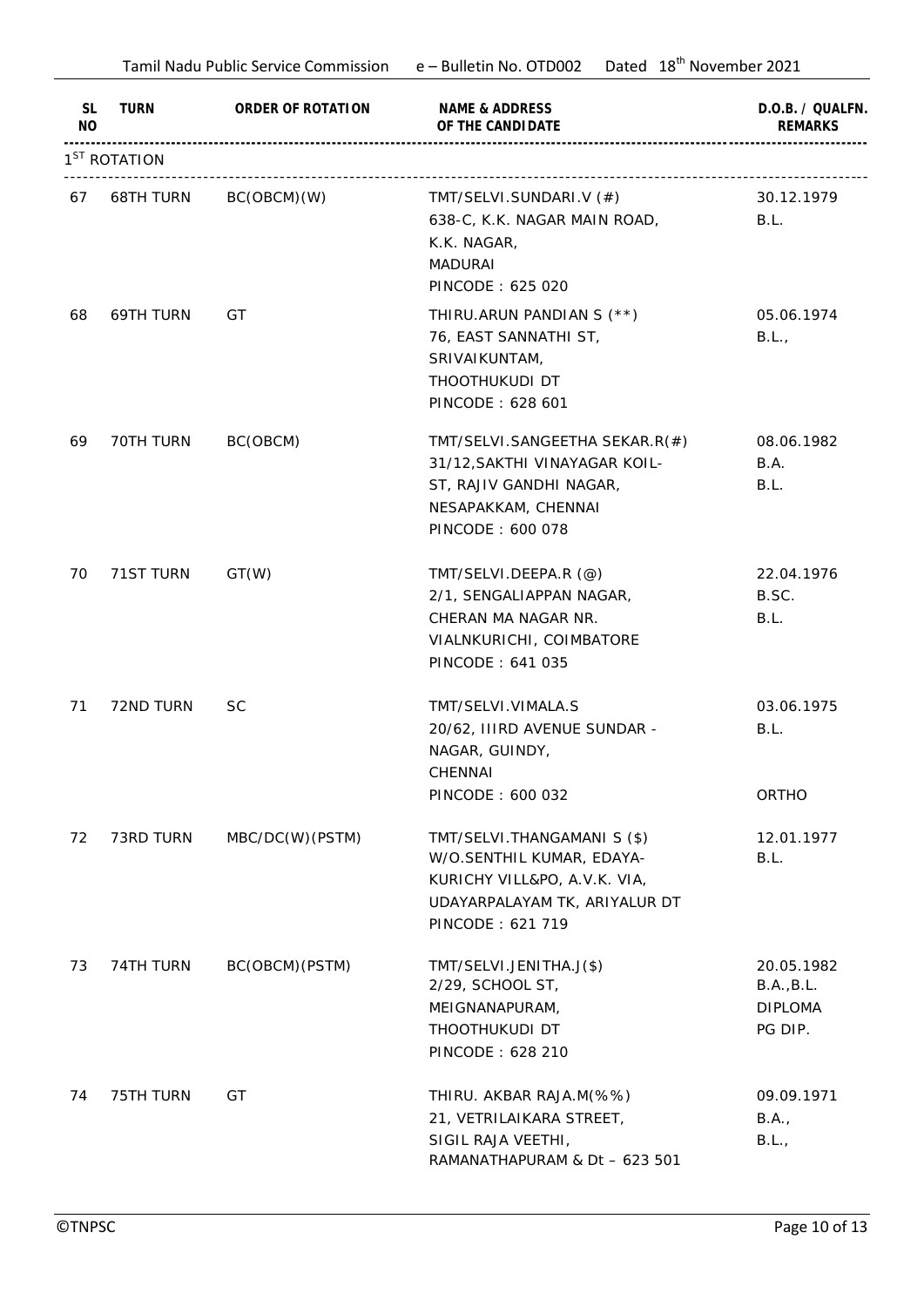|                      |                          |                   | Dated 18 <sup>th</sup> November 2021<br>Tamil Nadu Public Service Commission e - Bulletin No. OTD002                                          |                                                       |  |
|----------------------|--------------------------|-------------------|-----------------------------------------------------------------------------------------------------------------------------------------------|-------------------------------------------------------|--|
| SL<br>N <sub>O</sub> | TURN                     | ORDER OF ROTATION | NAME & ADDRESS<br>OF THE CANDI DATE                                                                                                           | D.O.B. / QUALFN.<br><b>REMARKS</b>                    |  |
|                      | 1 <sup>ST</sup> ROTATION |                   |                                                                                                                                               |                                                       |  |
| 67                   | 68TH TURN                | BC(OBCM)(W)       | TMT/SELVI.SUNDARI.V (#)<br>638-C, K.K. NAGAR MAIN ROAD,<br>K.K. NAGAR,<br><b>MADURAI</b><br>PINCODE: 625 020                                  | 30.12.1979<br>B.L.                                    |  |
| 68                   | 69TH TURN                | GT                | THIRU.ARUN PANDIAN S (**)<br>76, EAST SANNATHI ST,<br>SRIVAIKUNTAM,<br>THOOTHUKUDI DT<br>PINCODE: 628 601                                     | 05.06.1974<br>B.L.,                                   |  |
| 69                   | 70TH TURN                | BC(OBCM)          | TMT/SELVI.SANGEETHA SEKAR.R(#)<br>31/12, SAKTHI VINAYAGAR KOIL-<br>ST, RAJIV GANDHI NAGAR,<br>NESAPAKKAM, CHENNAI<br>PINCODE: 600 078         | 08.06.1982<br>B.A.<br>B.L.                            |  |
| 70                   | 71ST TURN                | GT(W)             | TMT/SELVI.DEEPA.R (@)<br>2/1, SENGALIAPPAN NAGAR,<br>CHERAN MA NAGAR NR.<br>VIALNKURICHI, COIMBATORE<br>PINCODE: 641 035                      | 22.04.1976<br>B.SC.<br>B.L.                           |  |
| 71                   | 72ND TURN                | <b>SC</b>         | TMT/SELVI.VIMALA.S<br>20/62, IIIRD AVENUE SUNDAR -<br>NAGAR, GUINDY,<br>CHENNAI<br>PINCODE: 600 032                                           | 03.06.1975<br>B.L.<br>ORTHO                           |  |
| 72                   | 73RD TURN                | MBC/DC(W)(PSTM)   | TMT/SELVI.THANGAMANI S (\$)<br>W/O.SENTHIL KUMAR, EDAYA-<br>KURICHY VILL&PO, A.V.K. VIA,<br>UDAYARPALAYAM TK, ARIYALUR DT<br>PINCODE: 621 719 | 12.01.1977<br>B.L.                                    |  |
| 73                   | 74TH TURN                | BC(OBCM)(PSTM)    | TMT/SELVI.JENITHA.J(\$)<br>2/29, SCHOOL ST,<br>MEIGNANAPURAM,<br>THOOTHUKUDI DT<br>PINCODE: 628 210                                           | 20.05.1982<br>B.A., B.L.<br><b>DIPLOMA</b><br>PG DIP. |  |
| 74                   | 75TH TURN                | GT                | THIRU. AKBAR RAJA.M(%%)<br>21, VETRILAIKARA STREET,<br>SIGIL RAJA VEETHI,<br>RAMANATHAPURAM & Dt - 623 501                                    | 09.09.1971<br>B.A.,<br>B.L.,                          |  |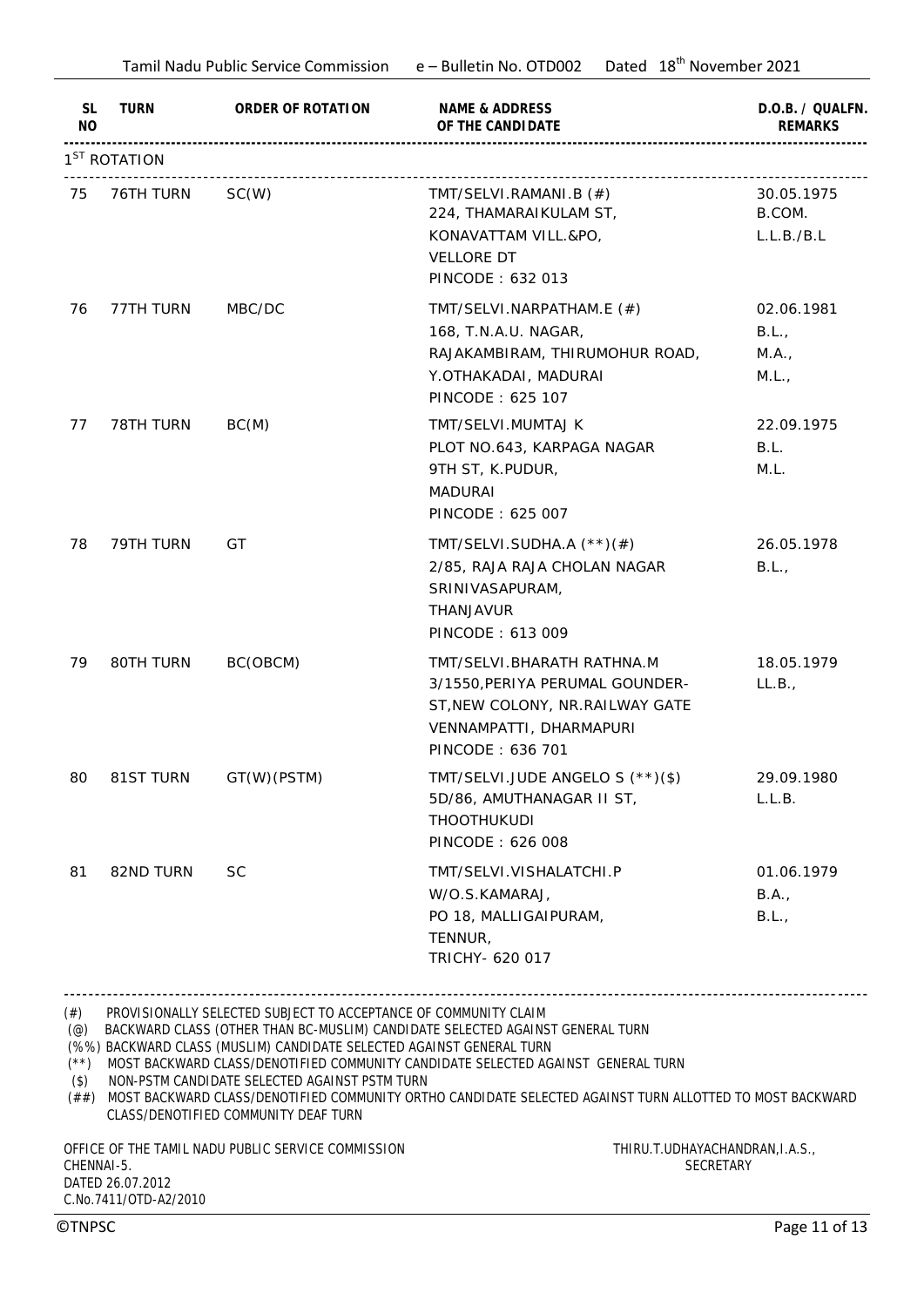|                                                                 |                          |                                                                                                                                                                                                                                                                                        | Tamil Nadu Public Service Commission e - Bulletin No. OTD002 Dated 18th November 2021                                                                                                                                                                                                                                                     |                                       |
|-----------------------------------------------------------------|--------------------------|----------------------------------------------------------------------------------------------------------------------------------------------------------------------------------------------------------------------------------------------------------------------------------------|-------------------------------------------------------------------------------------------------------------------------------------------------------------------------------------------------------------------------------------------------------------------------------------------------------------------------------------------|---------------------------------------|
| SL<br>NO                                                        | TURN                     | ORDER OF ROTATION                                                                                                                                                                                                                                                                      | NAME & ADDRESS<br>OF THE CANDI DATE                                                                                                                                                                                                                                                                                                       | D.O.B. / QUALFN.<br><b>REMARKS</b>    |
|                                                                 | 1 <sup>ST</sup> ROTATION |                                                                                                                                                                                                                                                                                        |                                                                                                                                                                                                                                                                                                                                           |                                       |
| 75                                                              | 76TH TURN                | SC(W)                                                                                                                                                                                                                                                                                  | TMT/SELVI.RAMANI.B (#)<br>224, THAMARAIKULAM ST,<br>KONAVATTAM VILL.&PO,<br><b>VELLORE DT</b><br>PINCODE: 632 013                                                                                                                                                                                                                         | 30.05.1975<br>B.COM.<br>L.L.B./B.L    |
| 76                                                              | 77TH TURN                | MBC/DC                                                                                                                                                                                                                                                                                 | TMT/SELVI.NARPATHAM.E $(\#)$<br>168, T.N.A.U. NAGAR,<br>RAJAKAMBIRAM, THIRUMOHUR ROAD,<br>Y.OTHAKADAI, MADURAI<br>PINCODE: 625 107                                                                                                                                                                                                        | 02.06.1981<br>B.L.,<br>M.A.,<br>M.L., |
| 77                                                              | 78TH TURN                | BC(M)                                                                                                                                                                                                                                                                                  | TMT/SELVI.MUMTAJ K<br>PLOT NO.643, KARPAGA NAGAR<br>9TH ST, K.PUDUR,<br><b>MADURAI</b><br>PINCODE: 625 007                                                                                                                                                                                                                                | 22.09.1975<br>B.L.<br>M.L.            |
| 78                                                              | 79TH TURN                | GT                                                                                                                                                                                                                                                                                     | TMT/SELVI.SUDHA.A $(**)$ (#)<br>2/85, RAJA RAJA CHOLAN NAGAR<br>SRINIVASAPURAM,<br>THANJAVUR<br>PINCODE: 613 009                                                                                                                                                                                                                          | 26.05.1978<br>B.L.,                   |
| 79                                                              | 80TH TURN                | BC(OBCM)                                                                                                                                                                                                                                                                               | TMT/SELVI.BHARATH RATHNA.M<br>3/1550, PERIYA PERUMAL GOUNDER-<br>ST, NEW COLONY, NR. RAILWAY GATE<br>VENNAMPATTI, DHARMAPURI<br>PINCODE: 636 701                                                                                                                                                                                          | 18.05.1979<br>LL.B.,                  |
| 80                                                              | 81ST TURN                | GT(W)(PSTM)                                                                                                                                                                                                                                                                            | TMT/SELVI.JUDE ANGELO S (**)(\$)<br>5D/86, AMUTHANAGAR II ST,<br><b>THOOTHUKUDI</b><br>PINCODE: 626 008                                                                                                                                                                                                                                   | 29.09.1980<br>L.L.B.                  |
| 81                                                              | 82ND TURN                | <b>SC</b>                                                                                                                                                                                                                                                                              | TMT/SELVI.VISHALATCHI.P<br>W/O.S.KAMARAJ,<br>PO 18, MALLIGAIPURAM,<br>TENNUR,<br>TRICHY- 620 017                                                                                                                                                                                                                                          | 01.06.1979<br>B.A.,<br>B.L.,          |
| $^{(+)}$<br>$(\circledcirc)$<br>$(**)$<br>$($ \$)<br>CHENNAI-5. |                          | PROVISIONALLY SELECTED SUBJECT TO ACCEPTANCE OF COMMUNITY CLAIM<br>(%%) BACKWARD CLASS (MUSLIM) CANDIDATE SELECTED AGAINST GENERAL TURN<br>NON-PSTM CANDIDATE SELECTED AGAINST PSTM TURN<br>CLASS/DENOTIFIED COMMUNITY DEAF TURN<br>OFFICE OF THE TAMIL NADU PUBLIC SERVICE COMMISSION | BACKWARD CLASS (OTHER THAN BC-MUSLIM) CANDIDATE SELECTED AGAINST GENERAL TURN<br>MOST BACKWARD CLASS/DENOTIFIED COMMUNITY CANDIDATE SELECTED AGAINST GENERAL TURN<br>(##) MOST BACKWARD CLASS/DENOTIFIED COMMUNITY ORTHO CANDIDATE SELECTED AGAINST TURN ALLOTTED TO MOST BACKWARD<br>THIRU.T.UDHAYACHANDRAN, I.A.S.,<br><b>SECRETARY</b> |                                       |

C.No.7411/OTD-A2/2010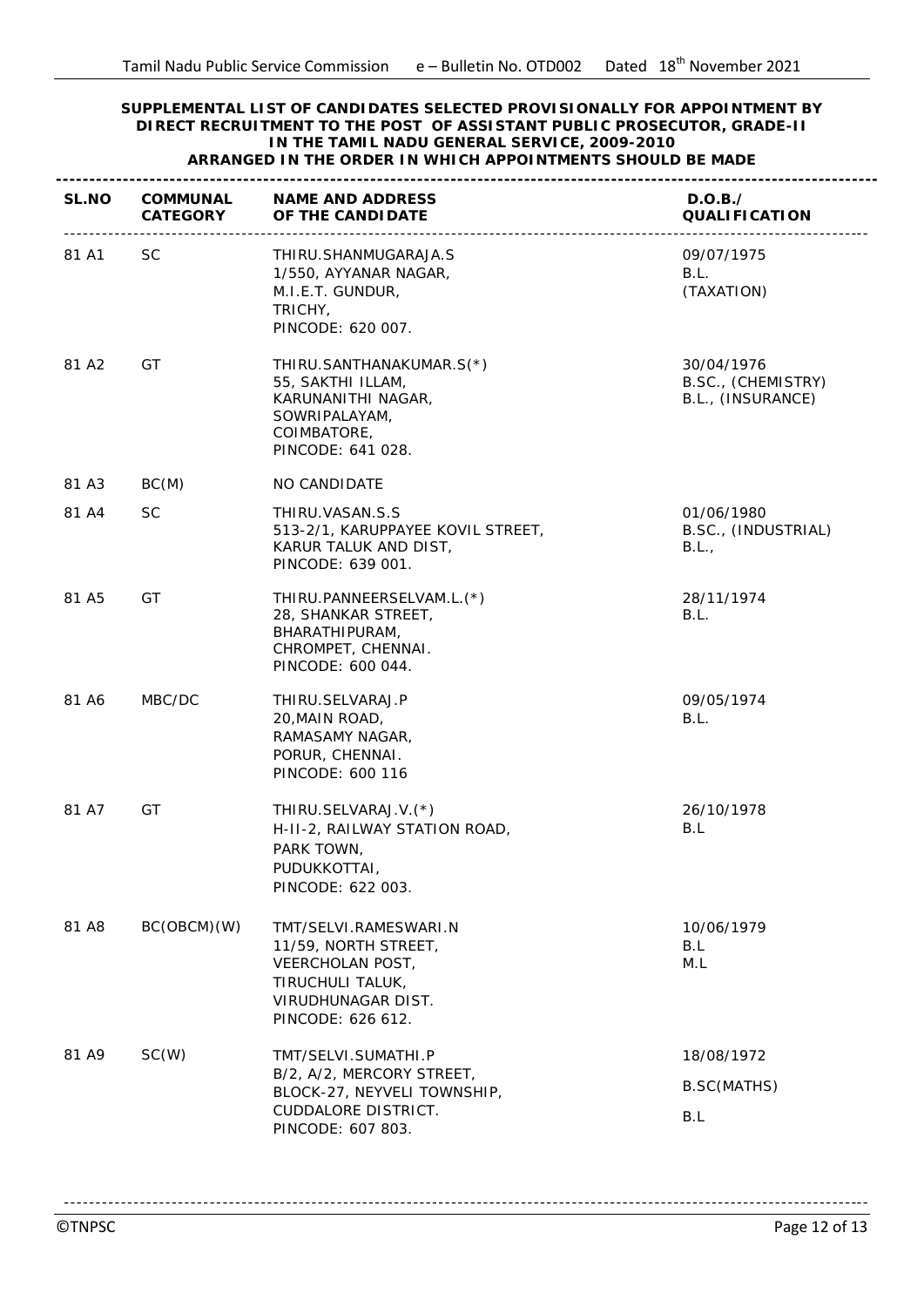## **SUPPLEMENTAL LIST OF CANDIDATES SELECTED PROVISIONALLY FOR APPOINTMENT BY DIRECT RECRUITMENT TO THE POST OF ASSISTANT PUBLIC PROSECUTOR, GRADE-II IN THE TAMIL NADU GENERAL SERVICE, 2009-2010 ARRANGED IN THE ORDER IN WHICH APPOINTMENTS SHOULD BE MADE**

| SL.NO | CATEGORY    | COMMUNAL NAME AND ADDRESS<br>OF THE CANDI DATE                                                                                   | D.O.B./<br><b>QUALIFICATION</b>                       |
|-------|-------------|----------------------------------------------------------------------------------------------------------------------------------|-------------------------------------------------------|
| 81 A1 | SC          | THIRU.SHANMUGARAJA.S<br>1/550, AYYANAR NAGAR,<br>M.I.E.T. GUNDUR,<br>TRICHY,<br>PINCODE: 620 007.                                | 09/07/1975<br>B.L.<br>(TAXATION)                      |
| 81 A2 | GT          | THIRU.SANTHANAKUMAR.S(*)<br>55, SAKTHI ILLAM,<br>KARUNANITHI NAGAR,<br>SOWRIPALAYAM,<br>COIMBATORE,<br>PINCODE: 641 028.         | 30/04/1976<br>B.SC., (CHEMISTRY)<br>B.L., (INSURANCE) |
| 81 A3 | BC(M)       | NO CANDIDATE                                                                                                                     |                                                       |
| 81 A4 | <b>SC</b>   | THIRU.VASAN.S.S<br>513-2/1, KARUPPAYEE KOVIL STREET,<br>KARUR TALUK AND DIST,<br>PINCODE: 639 001.                               | 01/06/1980<br>B.SC., (INDUSTRIAL)<br>B.L.,            |
| 81 A5 | GT          | THIRU.PANNEERSELVAM.L.(*)<br>28, SHANKAR STREET,<br>BHARATHIPURAM,<br>CHROMPET, CHENNAI.<br>PINCODE: 600 044.                    | 28/11/1974<br>B.L.                                    |
| 81 A6 | MBC/DC      | THIRU.SELVARAJ.P<br>20, MAIN ROAD,<br>RAMASAMY NAGAR,<br>PORUR, CHENNAI.<br>PINCODE: 600 116                                     | 09/05/1974<br>B.L.                                    |
| 81 A7 | GT          | THIRU.SELVARAJ.V.(*)<br>H-II-2, RAILWAY STATION ROAD,<br>PARK TOWN,<br><b>PUDUKKOTTAI</b><br>PINCODE: 622 003.                   | 26/10/1978<br>B.L                                     |
| 81 A8 | BC(OBCM)(W) | TMT/SELVI.RAMESWARI.N<br>11/59, NORTH STREET,<br>VEERCHOLAN POST,<br>TIRUCHULI TALUK,<br>VIRUDHUNAGAR DIST.<br>PINCODE: 626 612. | 10/06/1979<br>B.L<br>M.L                              |
| 81 A9 | SC(W)       | TMT/SELVI.SUMATHI.P<br>B/2, A/2, MERCORY STREET,<br>BLOCK-27, NEYVELI TOWNSHIP,<br>CUDDALORE DISTRICT.<br>PINCODE: 607 803.      | 18/08/1972<br><b>B.SC(MATHS)</b><br>B.L               |

-------------------------------------------------------------------------------------------------------------------------------